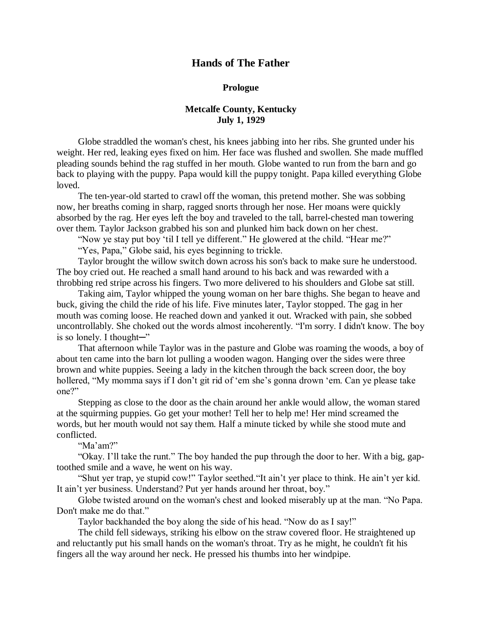## **Hands of The Father**

## **Prologue**

## **Metcalfe County, Kentucky July 1, 1929**

Globe straddled the woman's chest, his knees jabbing into her ribs. She grunted under his weight. Her red, leaking eyes fixed on him. Her face was flushed and swollen. She made muffled pleading sounds behind the rag stuffed in her mouth. Globe wanted to run from the barn and go back to playing with the puppy. Papa would kill the puppy tonight. Papa killed everything Globe loved.

The ten-year-old started to crawl off the woman, this pretend mother. She was sobbing now, her breaths coming in sharp, ragged snorts through her nose. Her moans were quickly absorbed by the rag. Her eyes left the boy and traveled to the tall, barrel-chested man towering over them. Taylor Jackson grabbed his son and plunked him back down on her chest.

"Now ye stay put boy 'til I tell ye different." He glowered at the child. "Hear me?" "Yes, Papa," Globe said, his eyes beginning to trickle.

Taylor brought the willow switch down across his son's back to make sure he understood. The boy cried out. He reached a small hand around to his back and was rewarded with a throbbing red stripe across his fingers. Two more delivered to his shoulders and Globe sat still.

Taking aim, Taylor whipped the young woman on her bare thighs. She began to heave and buck, giving the child the ride of his life. Five minutes later, Taylor stopped. The gag in her mouth was coming loose. He reached down and yanked it out. Wracked with pain, she sobbed uncontrollably. She choked out the words almost incoherently. "I'm sorry. I didn't know. The boy is so lonely. I thought─"

That afternoon while Taylor was in the pasture and Globe was roaming the woods, a boy of about ten came into the barn lot pulling a wooden wagon. Hanging over the sides were three brown and white puppies. Seeing a lady in the kitchen through the back screen door, the boy hollered, "My momma says if I don't git rid of 'em she's gonna drown 'em. Can ye please take one?"

Stepping as close to the door as the chain around her ankle would allow, the woman stared at the squirming puppies. Go get your mother! Tell her to help me! Her mind screamed the words, but her mouth would not say them. Half a minute ticked by while she stood mute and conflicted.

"Ma'am?"

"Okay. I'll take the runt." The boy handed the pup through the door to her. With a big, gaptoothed smile and a wave, he went on his way.

"Shut yer trap, ye stupid cow!" Taylor seethed."It ain't yer place to think. He ain't yer kid. It ain't yer business. Understand? Put yer hands around her throat, boy."

Globe twisted around on the woman's chest and looked miserably up at the man. "No Papa. Don't make me do that."

Taylor backhanded the boy along the side of his head. "Now do as I say!"

The child fell sideways, striking his elbow on the straw covered floor. He straightened up and reluctantly put his small hands on the woman's throat. Try as he might, he couldn't fit his fingers all the way around her neck. He pressed his thumbs into her windpipe.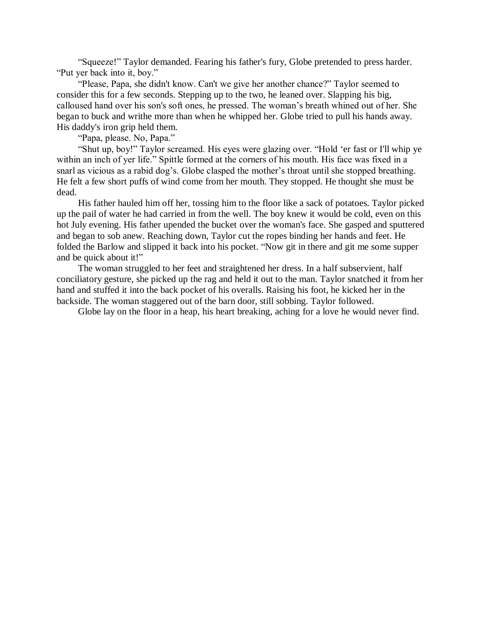"Squeeze!" Taylor demanded. Fearing his father's fury, Globe pretended to press harder. "Put yer back into it, boy."

"Please, Papa, she didn't know. Can't we give her another chance?" Taylor seemed to consider this for a few seconds. Stepping up to the two, he leaned over. Slapping his big, calloused hand over his son's soft ones, he pressed. The woman's breath whined out of her. She began to buck and writhe more than when he whipped her. Globe tried to pull his hands away. His daddy's iron grip held them.

"Papa, please. No, Papa."

"Shut up, boy!" Taylor screamed. His eyes were glazing over. "Hold 'er fast or I'll whip ye within an inch of yer life." Spittle formed at the corners of his mouth. His face was fixed in a snarl as vicious as a rabid dog's. Globe clasped the mother's throat until she stopped breathing. He felt a few short puffs of wind come from her mouth. They stopped. He thought she must be dead.

His father hauled him off her, tossing him to the floor like a sack of potatoes. Taylor picked up the pail of water he had carried in from the well. The boy knew it would be cold, even on this hot July evening. His father upended the bucket over the woman's face. She gasped and sputtered and began to sob anew. Reaching down, Taylor cut the ropes binding her hands and feet. He folded the Barlow and slipped it back into his pocket. "Now git in there and git me some supper and be quick about it!"

The woman struggled to her feet and straightened her dress. In a half subservient, half conciliatory gesture, she picked up the rag and held it out to the man. Taylor snatched it from her hand and stuffed it into the back pocket of his overalls. Raising his foot, he kicked her in the backside. The woman staggered out of the barn door, still sobbing. Taylor followed.

Globe lay on the floor in a heap, his heart breaking, aching for a love he would never find.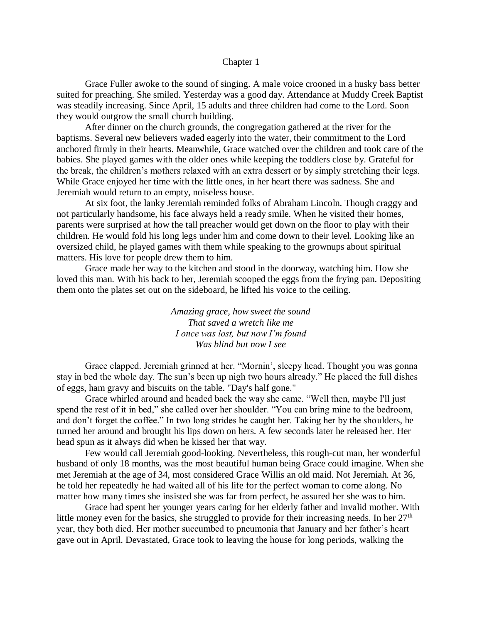## Chapter 1

Grace Fuller awoke to the sound of singing. A male voice crooned in a husky bass better suited for preaching. She smiled. Yesterday was a good day. Attendance at Muddy Creek Baptist was steadily increasing. Since April, 15 adults and three children had come to the Lord. Soon they would outgrow the small church building.

After dinner on the church grounds, the congregation gathered at the river for the baptisms. Several new believers waded eagerly into the water, their commitment to the Lord anchored firmly in their hearts. Meanwhile, Grace watched over the children and took care of the babies. She played games with the older ones while keeping the toddlers close by. Grateful for the break, the children's mothers relaxed with an extra dessert or by simply stretching their legs. While Grace enjoyed her time with the little ones, in her heart there was sadness. She and Jeremiah would return to an empty, noiseless house.

At six foot, the lanky Jeremiah reminded folks of Abraham Lincoln. Though craggy and not particularly handsome, his face always held a ready smile. When he visited their homes, parents were surprised at how the tall preacher would get down on the floor to play with their children. He would fold his long legs under him and come down to their level. Looking like an oversized child, he played games with them while speaking to the grownups about spiritual matters. His love for people drew them to him.

Grace made her way to the kitchen and stood in the doorway, watching him. How she loved this man. With his back to her, Jeremiah scooped the eggs from the frying pan. Depositing them onto the plates set out on the sideboard, he lifted his voice to the ceiling.

> *Amazing grace, how sweet the sound That saved a wretch like me I once was lost, but now I'm found Was blind but now I see*

Grace clapped. Jeremiah grinned at her. "Mornin', sleepy head. Thought you was gonna stay in bed the whole day. The sun's been up nigh two hours already." He placed the full dishes of eggs, ham gravy and biscuits on the table. "Day's half gone."

Grace whirled around and headed back the way she came. "Well then, maybe I'll just spend the rest of it in bed," she called over her shoulder. "You can bring mine to the bedroom, and don't forget the coffee." In two long strides he caught her. Taking her by the shoulders, he turned her around and brought his lips down on hers. A few seconds later he released her. Her head spun as it always did when he kissed her that way.

Few would call Jeremiah good-looking. Nevertheless, this rough-cut man, her wonderful husband of only 18 months, was the most beautiful human being Grace could imagine. When she met Jeremiah at the age of 34, most considered Grace Willis an old maid. Not Jeremiah. At 36, he told her repeatedly he had waited all of his life for the perfect woman to come along. No matter how many times she insisted she was far from perfect, he assured her she was to him.

Grace had spent her younger years caring for her elderly father and invalid mother. With little money even for the basics, she struggled to provide for their increasing needs. In her  $27<sup>th</sup>$ year, they both died. Her mother succumbed to pneumonia that January and her father's heart gave out in April. Devastated, Grace took to leaving the house for long periods, walking the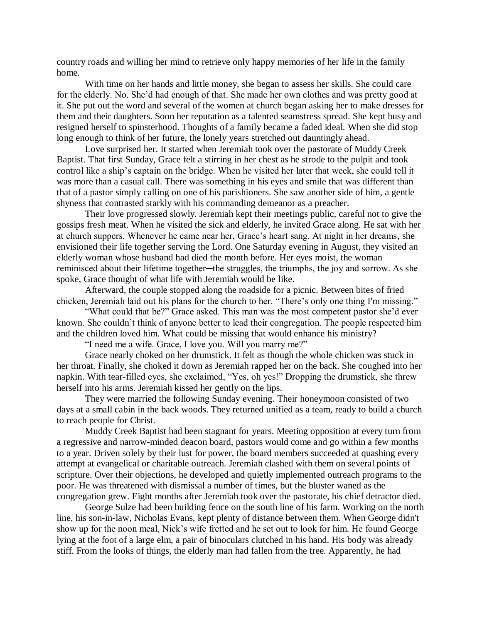country roads and willing her mind to retrieve only happy memories of her life in the family home.

With time on her hands and little money, she began to assess her skills. She could care for the elderly. No. She'd had enough of that. She made her own clothes and was pretty good at it. She put out the word and several of the women at church began asking her to make dresses for them and their daughters. Soon her reputation as a talented seamstress spread. She kept busy and resigned herself to spinsterhood. Thoughts of a family became a faded ideal. When she did stop long enough to think of her future, the lonely years stretched out dauntingly ahead.

Love surprised her. It started when Jeremiah took over the pastorate of Muddy Creek Baptist. That first Sunday, Grace felt a stirring in her chest as he strode to the pulpit and took control like a ship's captain on the bridge. When he visited her later that week, she could tell it was more than a casual call. There was something in his eyes and smile that was different than that of a pastor simply calling on one of his parishioners. She saw another side of him, a gentle shyness that contrasted starkly with his commanding demeanor as a preacher.

Their love progressed slowly. Jeremiah kept their meetings public, careful not to give the gossips fresh meat. When he visited the sick and elderly, he invited Grace along. He sat with her at church suppers. Whenever he came near her, Grace's heart sang. At night in her dreams, she envisioned their life together serving the Lord. One Saturday evening in August, they visited an elderly woman whose husband had died the month before. Her eyes moist, the woman reminisced about their lifetime together—the struggles, the triumphs, the joy and sorrow. As she spoke, Grace thought of what life with Jeremiah would be like.

Afterward, the couple stopped along the roadside for a picnic. Between bites of fried chicken, Jeremiah laid out his plans for the church to her. "There's only one thing I'm missing."

"What could that be?" Grace asked. This man was the most competent pastor she'd ever known. She couldn't think of anyone better to lead their congregation. The people respected him and the children loved him. What could be missing that would enhance his ministry?

"I need me a wife. Grace, I love you. Will you marry me?"

Grace nearly choked on her drumstick. It felt as though the whole chicken was stuck in her throat. Finally, she choked it down as Jeremiah rapped her on the back. She coughed into her napkin. With tear-filled eyes, she exclaimed, "Yes, oh yes!" Dropping the drumstick, she threw herself into his arms. Jeremiah kissed her gently on the lips.

They were married the following Sunday evening. Their honeymoon consisted of two days at a small cabin in the back woods. They returned unified as a team, ready to build a church to reach people for Christ.

Muddy Creek Baptist had been stagnant for years. Meeting opposition at every turn from a regressive and narrow-minded deacon board, pastors would come and go within a few months to a year. Driven solely by their lust for power, the board members succeeded at quashing every attempt at evangelical or charitable outreach. Jeremiah clashed with them on several points of scripture. Over their objections, he developed and quietly implemented outreach programs to the poor. He was threatened with dismissal a number of times, but the bluster waned as the congregation grew. Eight months after Jeremiah took over the pastorate, his chief detractor died.

George Sulze had been building fence on the south line of his farm. Working on the north line, his son-in-law, Nicholas Evans, kept plenty of distance between them. When George didn't show up for the noon meal, Nick's wife fretted and he set out to look for him. He found George lying at the foot of a large elm, a pair of binoculars clutched in his hand. His body was already stiff. From the looks of things, the elderly man had fallen from the tree. Apparently, he had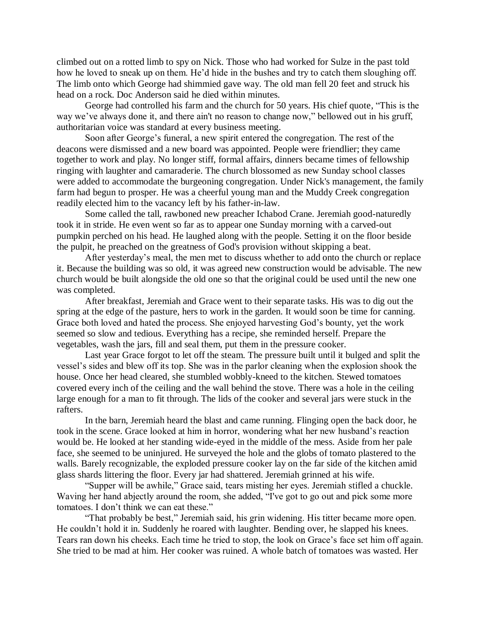climbed out on a rotted limb to spy on Nick. Those who had worked for Sulze in the past told how he loved to sneak up on them. He'd hide in the bushes and try to catch them sloughing off. The limb onto which George had shimmied gave way. The old man fell 20 feet and struck his head on a rock. Doc Anderson said he died within minutes.

George had controlled his farm and the church for 50 years. His chief quote, "This is the way we've always done it, and there ain't no reason to change now," bellowed out in his gruff, authoritarian voice was standard at every business meeting.

Soon after George's funeral, a new spirit entered the congregation. The rest of the deacons were dismissed and a new board was appointed. People were friendlier; they came together to work and play. No longer stiff, formal affairs, dinners became times of fellowship ringing with laughter and camaraderie. The church blossomed as new Sunday school classes were added to accommodate the burgeoning congregation. Under Nick's management, the family farm had begun to prosper. He was a cheerful young man and the Muddy Creek congregation readily elected him to the vacancy left by his father-in-law.

Some called the tall, rawboned new preacher Ichabod Crane. Jeremiah good-naturedly took it in stride. He even went so far as to appear one Sunday morning with a carved-out pumpkin perched on his head. He laughed along with the people. Setting it on the floor beside the pulpit, he preached on the greatness of God's provision without skipping a beat.

After yesterday's meal, the men met to discuss whether to add onto the church or replace it. Because the building was so old, it was agreed new construction would be advisable. The new church would be built alongside the old one so that the original could be used until the new one was completed.

After breakfast, Jeremiah and Grace went to their separate tasks. His was to dig out the spring at the edge of the pasture, hers to work in the garden. It would soon be time for canning. Grace both loved and hated the process. She enjoyed harvesting God's bounty, yet the work seemed so slow and tedious. Everything has a recipe, she reminded herself. Prepare the vegetables, wash the jars, fill and seal them, put them in the pressure cooker.

Last year Grace forgot to let off the steam. The pressure built until it bulged and split the vessel's sides and blew off its top. She was in the parlor cleaning when the explosion shook the house. Once her head cleared, she stumbled wobbly-kneed to the kitchen. Stewed tomatoes covered every inch of the ceiling and the wall behind the stove. There was a hole in the ceiling large enough for a man to fit through. The lids of the cooker and several jars were stuck in the rafters.

In the barn, Jeremiah heard the blast and came running. Flinging open the back door, he took in the scene. Grace looked at him in horror, wondering what her new husband's reaction would be. He looked at her standing wide-eyed in the middle of the mess. Aside from her pale face, she seemed to be uninjured. He surveyed the hole and the globs of tomato plastered to the walls. Barely recognizable, the exploded pressure cooker lay on the far side of the kitchen amid glass shards littering the floor. Every jar had shattered. Jeremiah grinned at his wife.

"Supper will be awhile," Grace said, tears misting her eyes. Jeremiah stifled a chuckle. Waving her hand abjectly around the room, she added, "I've got to go out and pick some more tomatoes. I don't think we can eat these."

"That probably be best," Jeremiah said, his grin widening. His titter became more open. He couldn't hold it in. Suddenly he roared with laughter. Bending over, he slapped his knees. Tears ran down his cheeks. Each time he tried to stop, the look on Grace's face set him off again. She tried to be mad at him. Her cooker was ruined. A whole batch of tomatoes was wasted. Her